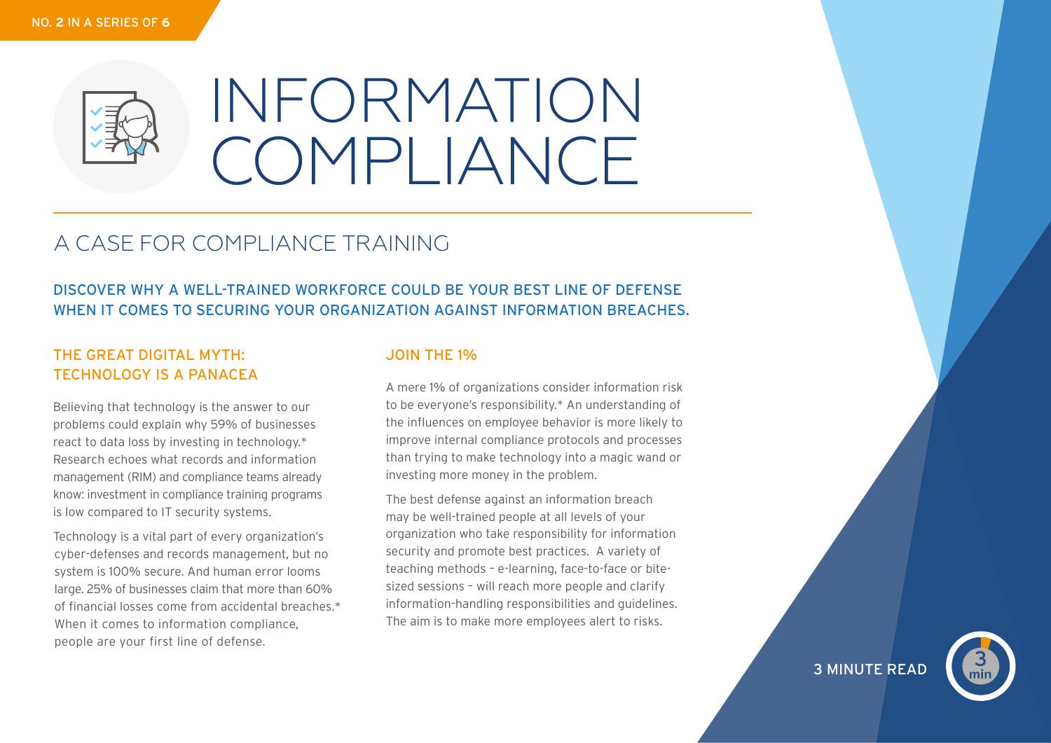

# INFORMATION COMPLIANCE

## A CASE FOR COMPLIANCE TRAINING

## DISCOVER WHY A WELL-TRAINED WORKFORCE COULD BE YOUR BEST LINE OF DEFENSE WHEN IT COMES TO SECURING YOUR ORGANIZATION AGAINST INFORMATION BREACHES.

#### THE GREAT DIGITAL MYTH: TECHNOLOGY IS A PANACEA

Believing that technology is the answer to our problems could explain why 59% of businesses react to data loss by investing in technology.\* Research echoes what records and information management (RIM) and compliance teams already know: investment in compliance training programs is low compared to IT security systems.

Technology is a vital part of every organization's cyber-defenses and records management, but no system is 100% secure. And human error looms large. 25% of businesses claim that more than 60% of financial losses come from accidental breaches.\* When it comes to information compliance, people are your first line of defense.

#### JOIN THE 1%

A mere 1% of organizations consider information risk to be everyone's responsibility.\* An understanding of the influences on employee behavior is more likely to improve internal compliance protocols and processes than trying to make technology into a magic wand or investing more money in the problem.

The best defense against an information breach may be well-trained people at all levels of your organization who take responsibility for information security and promote best practices. A variety of teaching methods – e-learning, face-to-face or bitesized sessions – will reach more people and clarify information-handling responsibilities and guidelines. The aim is to make more employees alert to risks.

**3 MINUTE READ**